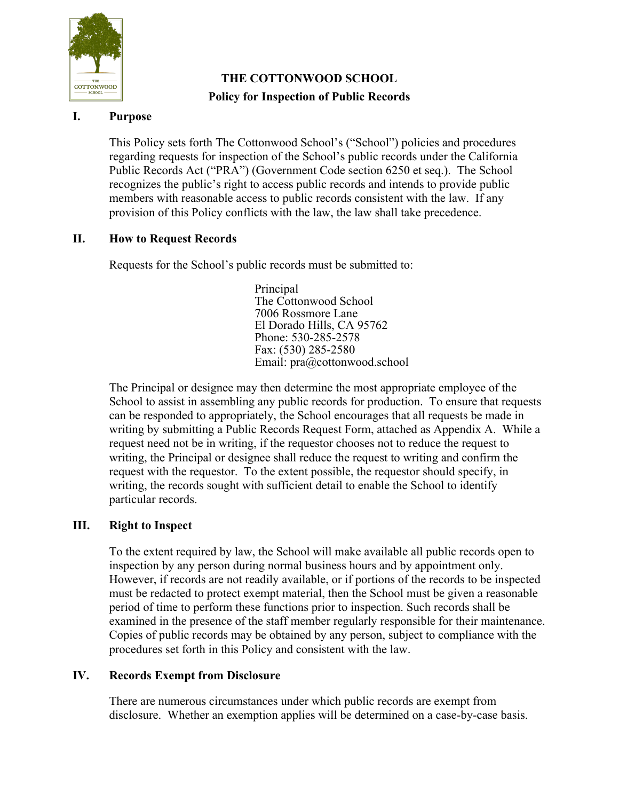

# **THE COTTONWOOD SCHOOL Policy for Inspection of Public Records**

#### **I. Purpose**

This Policy sets forth The Cottonwood School's ("School") policies and procedures regarding requests for inspection of the School's public records under the California Public Records Act ("PRA") (Government Code section 6250 et seq.). The School recognizes the public's right to access public records and intends to provide public members with reasonable access to public records consistent with the law. If any provision of this Policy conflicts with the law, the law shall take precedence.

#### **II. How to Request Records**

Requests for the School's public records must be submitted to:

Principal The Cottonwood School 7006 Rossmore Lane El Dorado Hills, CA 95762 Phone: 530-285-2578 Fax: (530) 285-2580 Email: pra@cottonwood.school

The Principal or designee may then determine the most appropriate employee of the School to assist in assembling any public records for production. To ensure that requests can be responded to appropriately, the School encourages that all requests be made in writing by submitting a Public Records Request Form, attached as Appendix A. While a request need not be in writing, if the requestor chooses not to reduce the request to writing, the Principal or designee shall reduce the request to writing and confirm the request with the requestor. To the extent possible, the requestor should specify, in writing, the records sought with sufficient detail to enable the School to identify particular records.

#### **III. Right to Inspect**

To the extent required by law, the School will make available all public records open to inspection by any person during normal business hours and by appointment only. However, if records are not readily available, or if portions of the records to be inspected must be redacted to protect exempt material, then the School must be given a reasonable period of time to perform these functions prior to inspection. Such records shall be examined in the presence of the staff member regularly responsible for their maintenance. Copies of public records may be obtained by any person, subject to compliance with the procedures set forth in this Policy and consistent with the law.

#### **IV. Records Exempt from Disclosure**

There are numerous circumstances under which public records are exempt from disclosure. Whether an exemption applies will be determined on a case-by-case basis.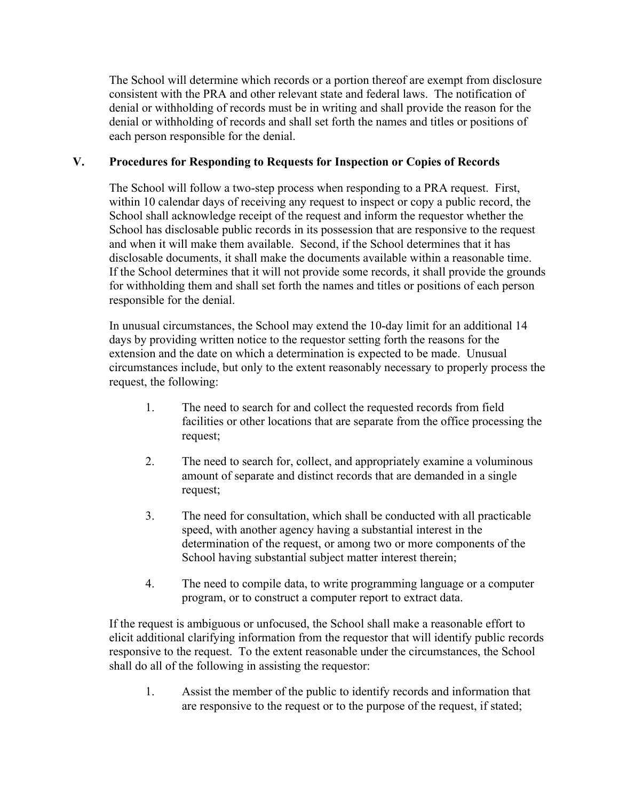The School will determine which records or a portion thereof are exempt from disclosure consistent with the PRA and other relevant state and federal laws. The notification of denial or withholding of records must be in writing and shall provide the reason for the denial or withholding of records and shall set forth the names and titles or positions of each person responsible for the denial.

#### **V. Procedures for Responding to Requests for Inspection or Copies of Records**

The School will follow a two-step process when responding to a PRA request. First, within 10 calendar days of receiving any request to inspect or copy a public record, the School shall acknowledge receipt of the request and inform the requestor whether the School has disclosable public records in its possession that are responsive to the request and when it will make them available. Second, if the School determines that it has disclosable documents, it shall make the documents available within a reasonable time. If the School determines that it will not provide some records, it shall provide the grounds for withholding them and shall set forth the names and titles or positions of each person responsible for the denial.

In unusual circumstances, the School may extend the 10-day limit for an additional 14 days by providing written notice to the requestor setting forth the reasons for the extension and the date on which a determination is expected to be made. Unusual circumstances include, but only to the extent reasonably necessary to properly process the request, the following:

- 1. The need to search for and collect the requested records from field facilities or other locations that are separate from the office processing the request;
- 2. The need to search for, collect, and appropriately examine a voluminous amount of separate and distinct records that are demanded in a single request;
- 3. The need for consultation, which shall be conducted with all practicable speed, with another agency having a substantial interest in the determination of the request, or among two or more components of the School having substantial subject matter interest therein;
- 4. The need to compile data, to write programming language or a computer program, or to construct a computer report to extract data.

If the request is ambiguous or unfocused, the School shall make a reasonable effort to elicit additional clarifying information from the requestor that will identify public records responsive to the request. To the extent reasonable under the circumstances, the School shall do all of the following in assisting the requestor:

1. Assist the member of the public to identify records and information that are responsive to the request or to the purpose of the request, if stated;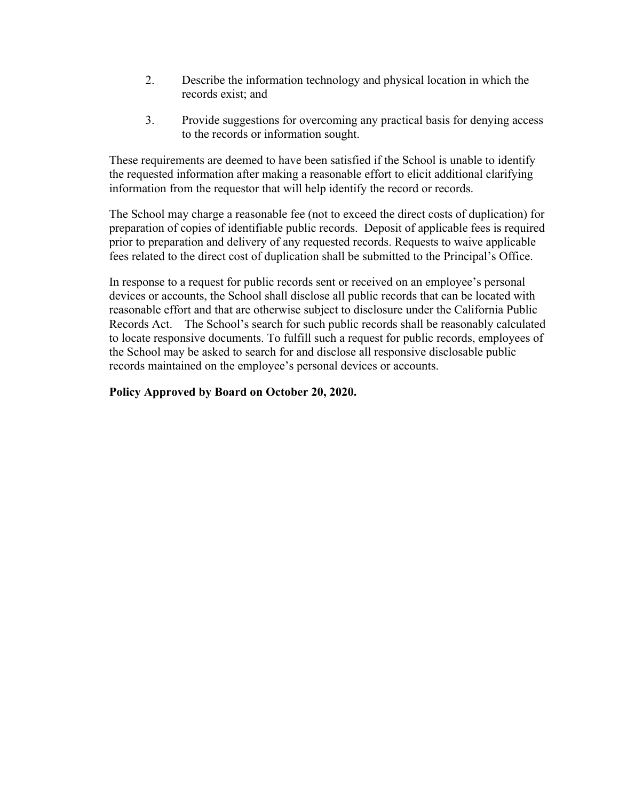- 2. Describe the information technology and physical location in which the records exist; and
- 3. Provide suggestions for overcoming any practical basis for denying access to the records or information sought.

These requirements are deemed to have been satisfied if the School is unable to identify the requested information after making a reasonable effort to elicit additional clarifying information from the requestor that will help identify the record or records.

The School may charge a reasonable fee (not to exceed the direct costs of duplication) for preparation of copies of identifiable public records. Deposit of applicable fees is required prior to preparation and delivery of any requested records. Requests to waive applicable fees related to the direct cost of duplication shall be submitted to the Principal's Office.

In response to a request for public records sent or received on an employee's personal devices or accounts, the School shall disclose all public records that can be located with reasonable effort and that are otherwise subject to disclosure under the California Public Records Act. The School's search for such public records shall be reasonably calculated to locate responsive documents. To fulfill such a request for public records, employees of the School may be asked to search for and disclose all responsive disclosable public records maintained on the employee's personal devices or accounts.

#### **Policy Approved by Board on October 20, 2020.**